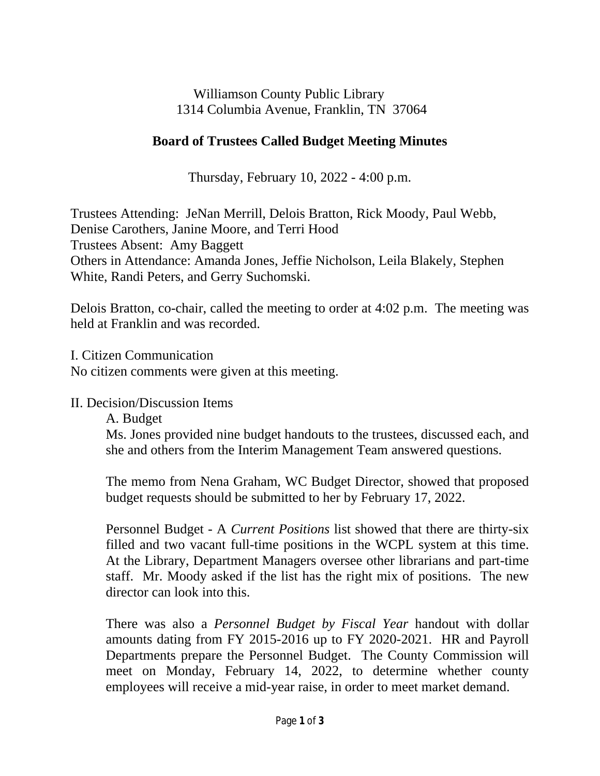Williamson County Public Library 1314 Columbia Avenue, Franklin, TN 37064

## **Board of Trustees Called Budget Meeting Minutes**

Thursday, February 10, 2022 - 4:00 p.m.

Trustees Attending: JeNan Merrill, Delois Bratton, Rick Moody, Paul Webb, Denise Carothers, Janine Moore, and Terri Hood Trustees Absent: Amy Baggett Others in Attendance: Amanda Jones, Jeffie Nicholson, Leila Blakely, Stephen White, Randi Peters, and Gerry Suchomski.

Delois Bratton, co-chair, called the meeting to order at 4:02 p.m. The meeting was held at Franklin and was recorded.

I. Citizen Communication

No citizen comments were given at this meeting.

## II. Decision/Discussion Items

A. Budget

Ms. Jones provided nine budget handouts to the trustees, discussed each, and she and others from the Interim Management Team answered questions.

The memo from Nena Graham, WC Budget Director, showed that proposed budget requests should be submitted to her by February 17, 2022.

Personnel Budget - A *Current Positions* list showed that there are thirty-six filled and two vacant full-time positions in the WCPL system at this time. At the Library, Department Managers oversee other librarians and part-time staff. Mr. Moody asked if the list has the right mix of positions. The new director can look into this.

There was also a *Personnel Budget by Fiscal Year* handout with dollar amounts dating from FY 2015-2016 up to FY 2020-2021. HR and Payroll Departments prepare the Personnel Budget. The County Commission will meet on Monday, February 14, 2022, to determine whether county employees will receive a mid-year raise, in order to meet market demand.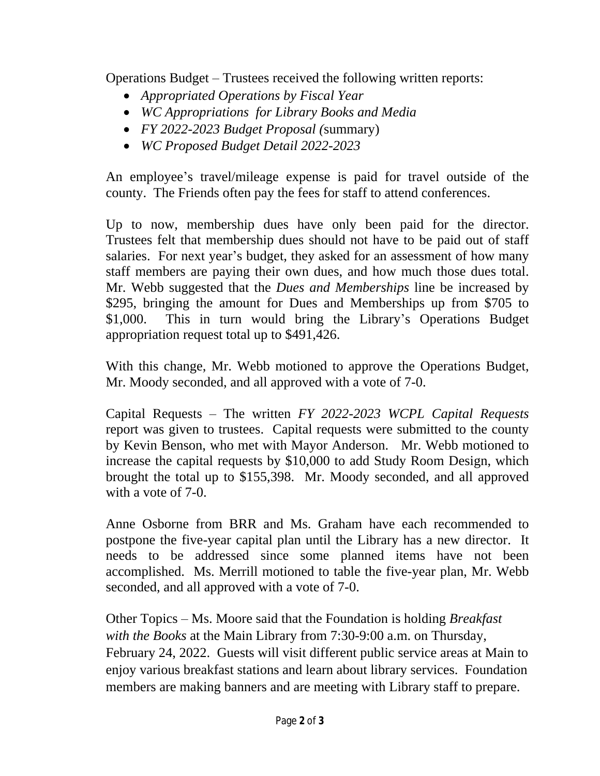Operations Budget – Trustees received the following written reports:

- *Appropriated Operations by Fiscal Year*
- *WC Appropriations for Library Books and Media*
- *FY 2022-2023 Budget Proposal (*summary)
- *WC Proposed Budget Detail 2022-2023*

An employee's travel/mileage expense is paid for travel outside of the county. The Friends often pay the fees for staff to attend conferences.

Up to now, membership dues have only been paid for the director. Trustees felt that membership dues should not have to be paid out of staff salaries. For next year's budget, they asked for an assessment of how many staff members are paying their own dues, and how much those dues total. Mr. Webb suggested that the *Dues and Memberships* line be increased by \$295, bringing the amount for Dues and Memberships up from \$705 to \$1,000. This in turn would bring the Library's Operations Budget appropriation request total up to \$491,426.

With this change, Mr. Webb motioned to approve the Operations Budget, Mr. Moody seconded, and all approved with a vote of 7-0.

Capital Requests – The written *FY 2022-2023 WCPL Capital Requests* report was given to trustees. Capital requests were submitted to the county by Kevin Benson, who met with Mayor Anderson. Mr. Webb motioned to increase the capital requests by \$10,000 to add Study Room Design, which brought the total up to \$155,398. Mr. Moody seconded, and all approved with a vote of 7-0.

Anne Osborne from BRR and Ms. Graham have each recommended to postpone the five-year capital plan until the Library has a new director. It needs to be addressed since some planned items have not been accomplished. Ms. Merrill motioned to table the five-year plan, Mr. Webb seconded, and all approved with a vote of 7-0.

Other Topics – Ms. Moore said that the Foundation is holding *Breakfast with the Books* at the Main Library from 7:30-9:00 a.m. on Thursday, February 24, 2022. Guests will visit different public service areas at Main to enjoy various breakfast stations and learn about library services. Foundation members are making banners and are meeting with Library staff to prepare.